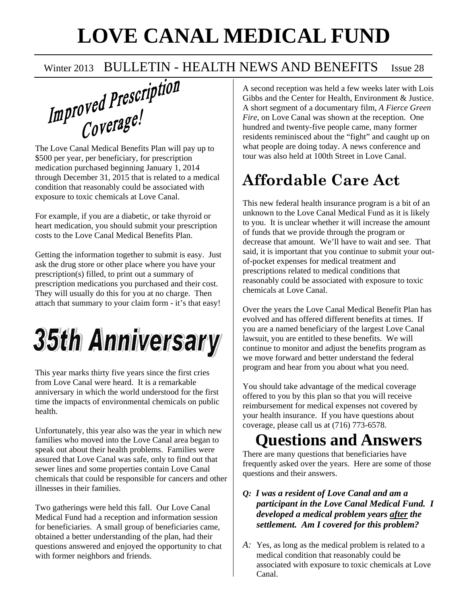## **LOVE CANAL MEDICAL FUND**

### Winter 2013 BULLETIN - HEALTH NEWS AND BENEFITS Issue 28

 $Im$   $proved$   $Prescript$ ion

\$500 per year, per beneficiary, for prescription medication purchased beginning January 1, 2014 through December 31, 2015 that is related to a medical condition that reasonably could be associated with exposure to toxic chemicals at Love Canal.

For example, if you are a diabetic, or take thyroid or heart medication, you should submit your prescription costs to the Love Canal Medical Benefits Plan.

Getting the information together to submit is easy. Just ask the drug store or other place where you have your prescription(s) filled, to print out a summary of prescription medications you purchased and their cost. They will usually do this for you at no charge. Then attach that summary to your claim form - it's that easy!

# **35th Anniversary**

This year marks thirty five years since the first cries from Love Canal were heard. It is a remarkable anniversary in which the world understood for the first time the impacts of environmental chemicals on public health.

Unfortunately, this year also was the year in which new families who moved into the Love Canal area began to speak out about their health problems. Families were assured that Love Canal was safe, only to find out that sewer lines and some properties contain Love Canal chemicals that could be responsible for cancers and other illnesses in their families.

Two gatherings were held this fall. Our Love Canal Medical Fund had a reception and information session for beneficiaries. A small group of beneficiaries came, obtained a better understanding of the plan, had their questions answered and enjoyed the opportunity to chat with former neighbors and friends.

A second reception was held a few weeks later with Lois Gibbs and the Center for Health, Environment & Justice. A short segment of a documentary film, *A Fierce Green Fire*, on Love Canal was shown at the reception. One hundred and twenty-five people came, many former residents reminisced about the "fight" and caught up on what people are doing today. A news conference and tour was also held at 100th Street in Love Canal.

## **Affordable Care Act**

This new federal health insurance program is a bit of an unknown to the Love Canal Medical Fund as it is likely to you. It is unclear whether it will increase the amount of funds that we provide through the program or decrease that amount. We'll have to wait and see. That said, it is important that you continue to submit your outof-pocket expenses for medical treatment and prescriptions related to medical conditions that reasonably could be associated with exposure to toxic chemicals at Love Canal.

Over the years the Love Canal Medical Benefit Plan has evolved and has offered different benefits at times. If you are a named beneficiary of the largest Love Canal lawsuit, you are entitled to these benefits. We will continue to monitor and adjust the benefits program as we move forward and better understand the federal program and hear from you about what you need.

You should take advantage of the medical coverage offered to you by this plan so that you will receive reimbursement for medical expenses not covered by your health insurance. If you have questions about coverage, please call us at (716) 773-6578.

## **Questions and Answers**

There are many questions that beneficiaries have frequently asked over the years. Here are some of those questions and their answers.

- *Q: I was a resident of Love Canal and am a participant in the Love Canal Medical Fund. I developed a medical problem years after the settlement. Am I covered for this problem?*
- *A:* Yes, as long as the medical problem is related to a medical condition that reasonably could be associated with exposure to toxic chemicals at Love Canal.